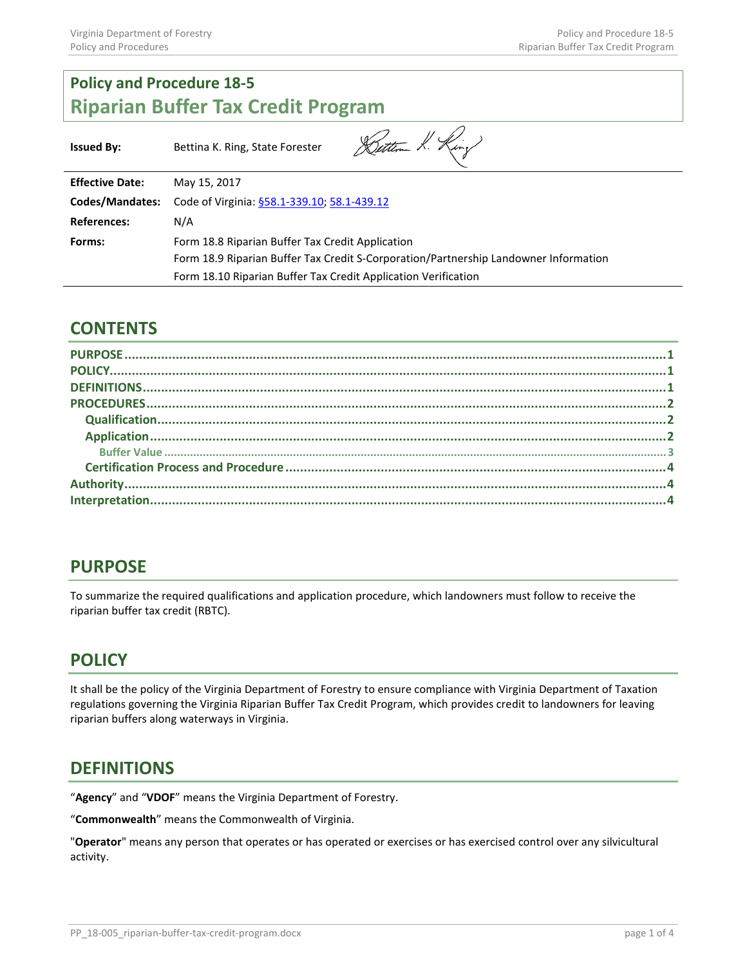# **Policy and Procedure 18-5 Riparian Buffer Tax Credit Program**

| <b>Issued By:</b>      | Dettern K. King<br>Bettina K. Ring, State Forester                                   |
|------------------------|--------------------------------------------------------------------------------------|
| <b>Effective Date:</b> | May 15, 2017                                                                         |
| Codes/Mandates:        | Code of Virginia: §58.1-339.10; 58.1-439.12                                          |
| <b>References:</b>     | N/A                                                                                  |
| Forms:                 | Form 18.8 Riparian Buffer Tax Credit Application                                     |
|                        | Form 18.9 Riparian Buffer Tax Credit S-Corporation/Partnership Landowner Information |
|                        | Form 18.10 Riparian Buffer Tax Credit Application Verification                       |

 $\overline{\phantom{0}}$ 

## **CONTENTS**

## <span id="page-0-0"></span>**PURPOSE**

To summarize the required qualifications and application procedure, which landowners must follow to receive the riparian buffer tax credit (RBTC).

## <span id="page-0-1"></span>**POLICY**

It shall be the policy of the Virginia Department of Forestry to ensure compliance with Virginia Department of Taxation regulations governing the Virginia Riparian Buffer Tax Credit Program, which provides credit to landowners for leaving riparian buffers along waterways in Virginia.

## <span id="page-0-2"></span>**DEFINITIONS**

"**Agency**" and "**VDOF**" means the Virginia Department of Forestry.

"**Commonwealth**" means the Commonwealth of Virginia.

"**Operator**" means any person that operates or has operated or exercises or has exercised control over any silvicultural activity.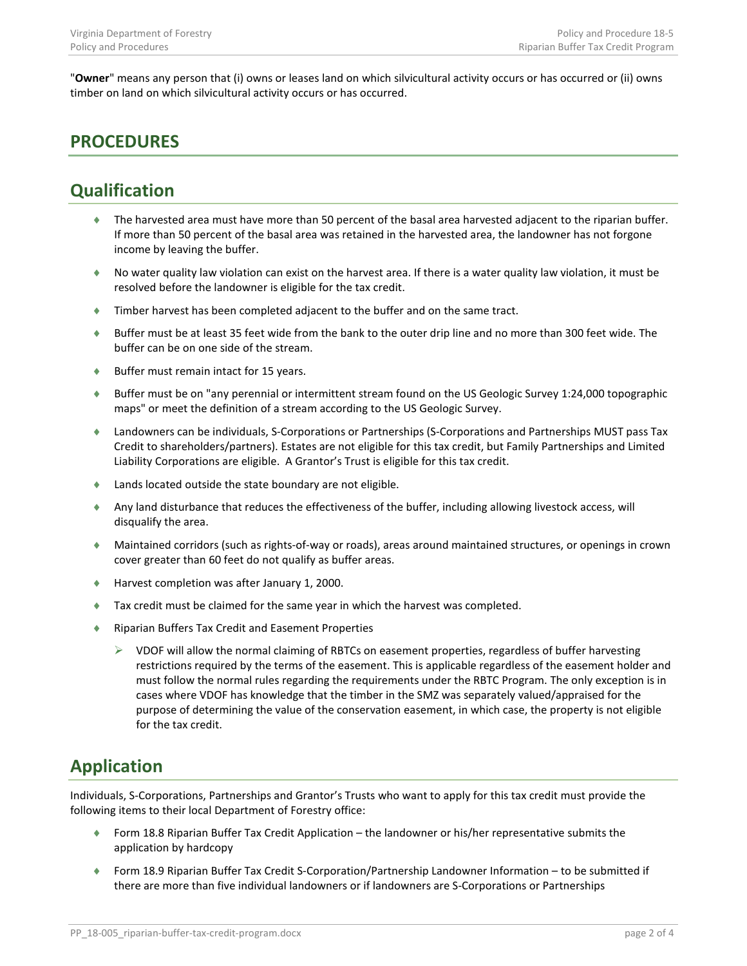"**Owner**" means any person that (i) owns or leases land on which silvicultural activity occurs or has occurred or (ii) owns timber on land on which silvicultural activity occurs or has occurred.

## <span id="page-1-0"></span>**PROCEDURES**

## <span id="page-1-1"></span>**Qualification**

- ♦ The harvested area must have more than 50 percent of the basal area harvested adjacent to the riparian buffer. If more than 50 percent of the basal area was retained in the harvested area, the landowner has not forgone income by leaving the buffer.
- ♦ No water quality law violation can exist on the harvest area. If there is a water quality law violation, it must be resolved before the landowner is eligible for the tax credit.
- ♦ Timber harvest has been completed adjacent to the buffer and on the same tract.
- ♦ Buffer must be at least 35 feet wide from the bank to the outer drip line and no more than 300 feet wide. The buffer can be on one side of the stream.
- ♦ Buffer must remain intact for 15 years.
- ♦ Buffer must be on "any perennial or intermittent stream found on the US Geologic Survey 1:24,000 topographic maps" or meet the definition of a stream according to the US Geologic Survey.
- ♦ Landowners can be individuals, S-Corporations or Partnerships (S-Corporations and Partnerships MUST pass Tax Credit to shareholders/partners). Estates are not eligible for this tax credit, but Family Partnerships and Limited Liability Corporations are eligible. A Grantor's Trust is eligible for this tax credit.
- ♦ Lands located outside the state boundary are not eligible.
- ♦ Any land disturbance that reduces the effectiveness of the buffer, including allowing livestock access, will disqualify the area.
- ♦ Maintained corridors (such as rights-of-way or roads), areas around maintained structures, or openings in crown cover greater than 60 feet do not qualify as buffer areas.
- Harvest completion was after January 1, 2000.
- ♦ Tax credit must be claimed for the same year in which the harvest was completed.
- ♦ Riparian Buffers Tax Credit and Easement Properties
	- $\triangleright$  VDOF will allow the normal claiming of RBTCs on easement properties, regardless of buffer harvesting restrictions required by the terms of the easement. This is applicable regardless of the easement holder and must follow the normal rules regarding the requirements under the RBTC Program. The only exception is in cases where VDOF has knowledge that the timber in the SMZ was separately valued/appraised for the purpose of determining the value of the conservation easement, in which case, the property is not eligible for the tax credit.

# <span id="page-1-2"></span>**Application**

Individuals, S-Corporations, Partnerships and Grantor's Trusts who want to apply for this tax credit must provide the following items to their local Department of Forestry office:

- ♦ Form 18.8 Riparian Buffer Tax Credit Application the landowner or his/her representative submits the application by hardcopy
- ♦ Form 18.9 Riparian Buffer Tax Credit S-Corporation/Partnership Landowner Information to be submitted if there are more than five individual landowners or if landowners are S-Corporations or Partnerships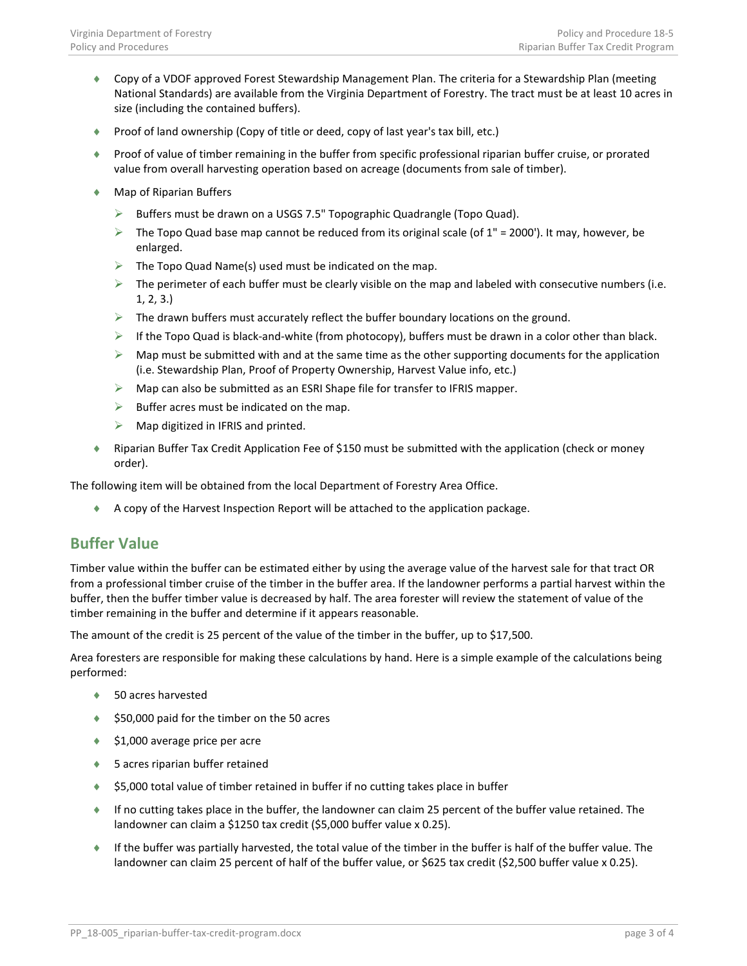- ♦ Copy of a VDOF approved Forest Stewardship Management Plan. The criteria for a Stewardship Plan (meeting National Standards) are available from the Virginia Department of Forestry. The tract must be at least 10 acres in size (including the contained buffers).
- ♦ Proof of land ownership (Copy of title or deed, copy of last year's tax bill, etc.)
- ♦ Proof of value of timber remaining in the buffer from specific professional riparian buffer cruise, or prorated value from overall harvesting operation based on acreage (documents from sale of timber).
- ♦ Map of Riparian Buffers
	- $\triangleright$  Buffers must be drawn on a USGS 7.5" Topographic Quadrangle (Topo Quad).
	- $\triangleright$  The Topo Quad base map cannot be reduced from its original scale (of 1" = 2000'). It may, however, be enlarged.
	- $\triangleright$  The Topo Quad Name(s) used must be indicated on the map.
	- $\triangleright$  The perimeter of each buffer must be clearly visible on the map and labeled with consecutive numbers (i.e. 1, 2, 3.)
	- $\triangleright$  The drawn buffers must accurately reflect the buffer boundary locations on the ground.
	- $\triangleright$  If the Topo Quad is black-and-white (from photocopy), buffers must be drawn in a color other than black.
	- $\triangleright$  Map must be submitted with and at the same time as the other supporting documents for the application (i.e. Stewardship Plan, Proof of Property Ownership, Harvest Value info, etc.)
	- $\triangleright$  Map can also be submitted as an ESRI Shape file for transfer to IFRIS mapper.
	- $\triangleright$  Buffer acres must be indicated on the map.
	- $\triangleright$  Map digitized in IFRIS and printed.
- ♦ Riparian Buffer Tax Credit Application Fee of \$150 must be submitted with the application (check or money order).

The following item will be obtained from the local Department of Forestry Area Office.

♦ A copy of the Harvest Inspection Report will be attached to the application package.

#### <span id="page-2-0"></span>**Buffer Value**

Timber value within the buffer can be estimated either by using the average value of the harvest sale for that tract OR from a professional timber cruise of the timber in the buffer area. If the landowner performs a partial harvest within the buffer, then the buffer timber value is decreased by half. The area forester will review the statement of value of the timber remaining in the buffer and determine if it appears reasonable.

The amount of the credit is 25 percent of the value of the timber in the buffer, up to \$17,500.

Area foresters are responsible for making these calculations by hand. Here is a simple example of the calculations being performed:

- ♦ 50 acres harvested
- ♦ \$50,000 paid for the timber on the 50 acres
- $\triangle$  \$1,000 average price per acre
- ♦ 5 acres riparian buffer retained
- ♦ \$5,000 total value of timber retained in buffer if no cutting takes place in buffer
- ♦ If no cutting takes place in the buffer, the landowner can claim 25 percent of the buffer value retained. The landowner can claim a \$1250 tax credit (\$5,000 buffer value x 0.25).
- ♦ If the buffer was partially harvested, the total value of the timber in the buffer is half of the buffer value. The landowner can claim 25 percent of half of the buffer value, or \$625 tax credit (\$2,500 buffer value x 0.25).